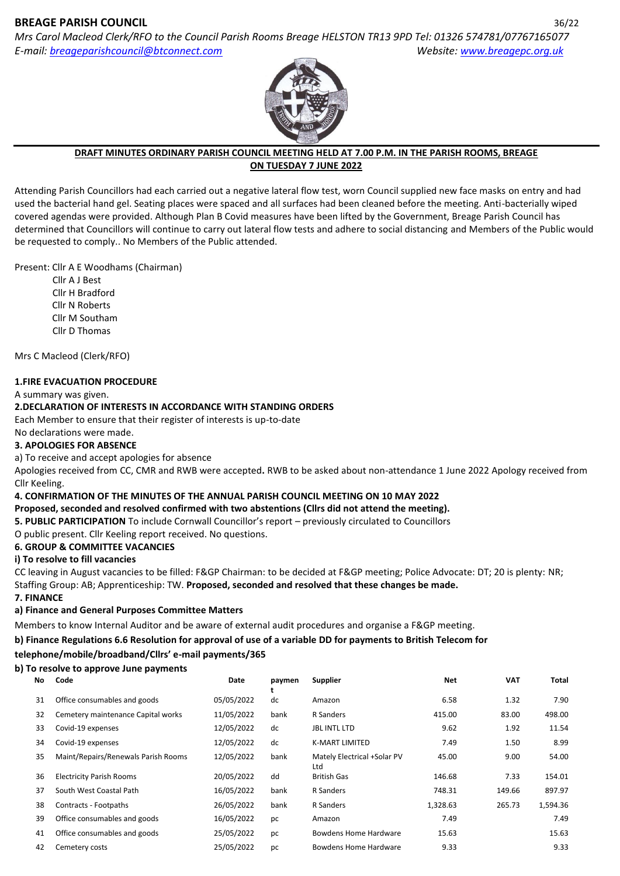# **BREAGE PARISH COUNCIL** 36/22

*Mrs Carol Macleod Clerk/RFO to the Council Parish Rooms Breage HELSTON TR13 9PD Tel: 01326 574781/07767165077 E-mail: [breageparishcouncil@btconnect.com](mailto:breageparishcouncil@btconnect.com) Website: [www.breagepc.org.uk](http://www.breagepc.org.uk/)*



#### **DRAFT MINUTES ORDINARY PARISH COUNCIL MEETING HELD AT 7.00 P.M. IN THE PARISH ROOMS, BREAGE ON TUESDAY 7 JUNE 2022**

Attending Parish Councillors had each carried out a negative lateral flow test, worn Council supplied new face masks on entry and had used the bacterial hand gel. Seating places were spaced and all surfaces had been cleaned before the meeting. Anti-bacterially wiped covered agendas were provided. Although Plan B Covid measures have been lifted by the Government, Breage Parish Council has determined that Councillors will continue to carry out lateral flow tests and adhere to social distancing and Members of the Public would be requested to comply.. No Members of the Public attended.

### Present: Cllr A E Woodhams (Chairman)

 Cllr A J Best Cllr H Bradford Cllr N Roberts Cllr M Southam Cllr D Thomas

Mrs C Macleod (Clerk/RFO)

### **1.FIRE EVACUATION PROCEDURE**

A summary was given.

# **2.DECLARATION OF INTERESTS IN ACCORDANCE WITH STANDING ORDERS**

Each Member to ensure that their register of interests is up-to-date

No declarations were made.

### **3. APOLOGIES FOR ABSENCE**

a) To receive and accept apologies for absence

Apologies received from CC, CMR and RWB were accepted**.** RWB to be asked about non-attendance 1 June 2022 Apology received from Cllr Keeling.

### **4. CONFIRMATION OF THE MINUTES OF THE ANNUAL PARISH COUNCIL MEETING ON 10 MAY 2022**

### **Proposed, seconded and resolved confirmed with two abstentions (Cllrs did not attend the meeting).**

**5. PUBLIC PARTICIPATION** To include Cornwall Councillor's report – previously circulated to Councillors

O public present. Cllr Keeling report received. No questions.

### **6. GROUP & COMMITTEE VACANCIES**

### **i) To resolve to fill vacancies**

CC leaving in August vacancies to be filled: F&GP Chairman: to be decided at F&GP meeting; Police Advocate: DT; 20 is plenty: NR; Staffing Group: AB; Apprenticeship: TW. **Proposed, seconded and resolved that these changes be made.**

### **7. FINANCE**

# **a) Finance and General Purposes Committee Matters**

Members to know Internal Auditor and be aware of external audit procedures and organise a F&GP meeting.

# **b) Finance Regulations 6.6 Resolution for approval of use of a variable DD for payments to British Telecom for**

# **telephone/mobile/broadband/Cllrs' e-mail payments/365**

# **b) To resolve to approve June payments**

| No. | Code                                | Date       | paymen<br>τ. | <b>Supplier</b>                    | <b>Net</b> | <b>VAT</b> | Total    |
|-----|-------------------------------------|------------|--------------|------------------------------------|------------|------------|----------|
| 31  | Office consumables and goods        | 05/05/2022 | dc           | Amazon                             | 6.58       | 1.32       | 7.90     |
| 32  | Cemetery maintenance Capital works  | 11/05/2022 | bank         | R Sanders                          | 415.00     | 83.00      | 498.00   |
| 33  | Covid-19 expenses                   | 12/05/2022 | dc           | <b>JBL INTL LTD</b>                | 9.62       | 1.92       | 11.54    |
| 34  | Covid-19 expenses                   | 12/05/2022 | dc           | <b>K-MART LIMITED</b>              | 7.49       | 1.50       | 8.99     |
| 35  | Maint/Repairs/Renewals Parish Rooms | 12/05/2022 | bank         | Mately Electrical +Solar PV<br>Ltd | 45.00      | 9.00       | 54.00    |
| 36  | <b>Electricity Parish Rooms</b>     | 20/05/2022 | dd           | <b>British Gas</b>                 | 146.68     | 7.33       | 154.01   |
| 37  | South West Coastal Path             | 16/05/2022 | bank         | R Sanders                          | 748.31     | 149.66     | 897.97   |
| 38  | Contracts - Footpaths               | 26/05/2022 | bank         | R Sanders                          | 1,328.63   | 265.73     | 1,594.36 |
| 39  | Office consumables and goods        | 16/05/2022 | рc           | Amazon                             | 7.49       |            | 7.49     |
| 41  | Office consumables and goods        | 25/05/2022 | рc           | Bowdens Home Hardware              | 15.63      |            | 15.63    |
| 42  | Cemetery costs                      | 25/05/2022 | pc           | <b>Bowdens Home Hardware</b>       | 9.33       |            | 9.33     |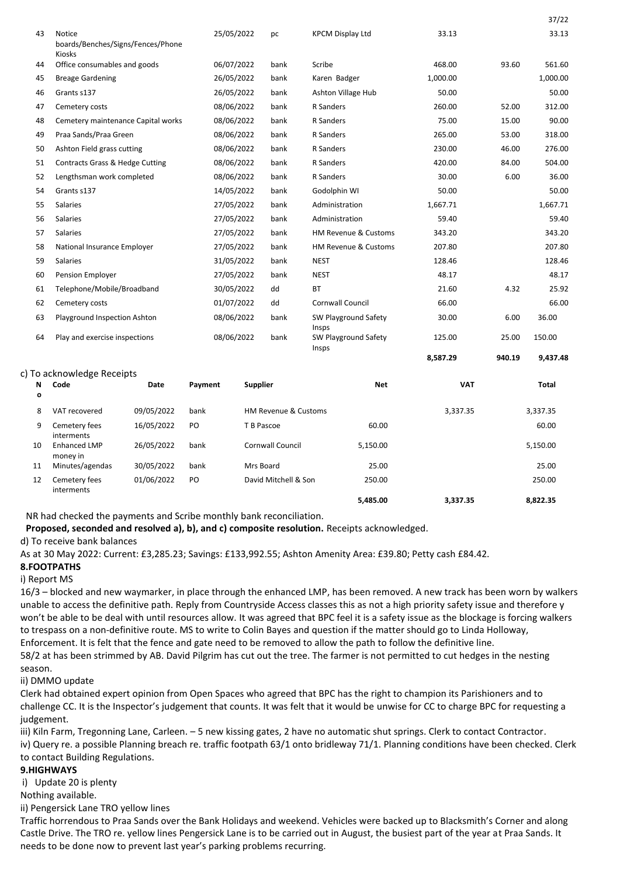|    |                                                                     |            |      |                                 |          |        | 37/22    |
|----|---------------------------------------------------------------------|------------|------|---------------------------------|----------|--------|----------|
| 43 | <b>Notice</b><br>boards/Benches/Signs/Fences/Phone<br><b>Kiosks</b> | 25/05/2022 | pc   | <b>KPCM Display Ltd</b>         | 33.13    |        | 33.13    |
| 44 | Office consumables and goods                                        | 06/07/2022 | bank | Scribe                          | 468.00   | 93.60  | 561.60   |
| 45 | <b>Breage Gardening</b>                                             | 26/05/2022 | bank | Karen Badger                    | 1,000.00 |        | 1,000.00 |
| 46 | Grants s137                                                         | 26/05/2022 | bank | Ashton Village Hub              | 50.00    |        | 50.00    |
| 47 | Cemetery costs                                                      | 08/06/2022 | bank | <b>R</b> Sanders                | 260.00   | 52.00  | 312.00   |
| 48 | Cemetery maintenance Capital works                                  | 08/06/2022 | bank | <b>R</b> Sanders                | 75.00    | 15.00  | 90.00    |
| 49 | Praa Sands/Praa Green                                               | 08/06/2022 | bank | <b>R</b> Sanders                | 265.00   | 53.00  | 318.00   |
| 50 | Ashton Field grass cutting                                          | 08/06/2022 | bank | <b>R</b> Sanders                | 230.00   | 46.00  | 276.00   |
| 51 | Contracts Grass & Hedge Cutting                                     | 08/06/2022 | bank | R Sanders                       | 420.00   | 84.00  | 504.00   |
| 52 | Lengthsman work completed                                           | 08/06/2022 | bank | <b>R</b> Sanders                | 30.00    | 6.00   | 36.00    |
| 54 | Grants s137                                                         | 14/05/2022 | bank | Godolphin WI                    | 50.00    |        | 50.00    |
| 55 | <b>Salaries</b>                                                     | 27/05/2022 | bank | Administration                  | 1,667.71 |        | 1,667.71 |
| 56 | <b>Salaries</b>                                                     | 27/05/2022 | bank | Administration                  | 59.40    |        | 59.40    |
| 57 | <b>Salaries</b>                                                     | 27/05/2022 | bank | <b>HM Revenue &amp; Customs</b> | 343.20   |        | 343.20   |
| 58 | National Insurance Employer                                         | 27/05/2022 | bank | <b>HM Revenue &amp; Customs</b> | 207.80   |        | 207.80   |
| 59 | <b>Salaries</b>                                                     | 31/05/2022 | bank | <b>NEST</b>                     | 128.46   |        | 128.46   |
| 60 | <b>Pension Employer</b>                                             | 27/05/2022 | bank | <b>NEST</b>                     | 48.17    |        | 48.17    |
| 61 | Telephone/Mobile/Broadband                                          | 30/05/2022 | dd   | <b>BT</b>                       | 21.60    | 4.32   | 25.92    |
| 62 | Cemetery costs                                                      | 01/07/2022 | dd   | <b>Cornwall Council</b>         | 66.00    |        | 66.00    |
| 63 | Playground Inspection Ashton                                        | 08/06/2022 | bank | SW Playground Safety<br>Insps   | 30.00    | 6.00   | 36.00    |
| 64 | Play and exercise inspections                                       | 08/06/2022 | bank | SW Playground Safety<br>Insps   | 125.00   | 25.00  | 150.00   |
|    |                                                                     |            |      |                                 | 8.587.29 | 940.19 | 9.437.48 |

#### c) To acknowledge Receipts

| N<br>$\mathbf{o}$ | Code                        | Date       | Payment        | Supplier                        | <b>Net</b> | <b>VAT</b> | <b>Total</b> |
|-------------------|-----------------------------|------------|----------------|---------------------------------|------------|------------|--------------|
| 8                 | VAT recovered               | 09/05/2022 | bank           | <b>HM Revenue &amp; Customs</b> |            | 3,337.35   | 3,337.35     |
| 9                 | Cemetery fees<br>interments | 16/05/2022 | PO             | T B Pascoe                      | 60.00      |            | 60.00        |
| 10                | Enhanced LMP<br>money in    | 26/05/2022 | bank           | Cornwall Council                | 5,150.00   |            | 5,150.00     |
| 11                | Minutes/agendas             | 30/05/2022 | bank           | Mrs Board                       | 25.00      |            | 25.00        |
| 12                | Cemetery fees<br>interments | 01/06/2022 | P <sub>O</sub> | David Mitchell & Son            | 250.00     |            | 250.00       |
|                   |                             |            |                |                                 | 5.485.00   | 3.337.35   | 8.822.35     |

NR had checked the payments and Scribe monthly bank reconciliation.

**Proposed, seconded and resolved a), b), and c) composite resolution.** Receipts acknowledged.

### d) To receive bank balances

As at 30 May 2022: Current: £3,285.23; Savings: £133,992.55; Ashton Amenity Area: £39.80; Petty cash £84.42.

### **8.FOOTPATHS**

i) Report MS

16/3 – blocked and new waymarker, in place through the enhanced LMP, has been removed. A new track has been worn by walkers unable to access the definitive path. Reply from Countryside Access classes this as not a high priority safety issue and therefore y won't be able to be deal with until resources allow. It was agreed that BPC feel it is a safety issue as the blockage is forcing walkers to trespass on a non-definitive route. MS to write to Colin Bayes and question if the matter should go to Linda Holloway, Enforcement. It is felt that the fence and gate need to be removed to allow the path to follow the definitive line.

58/2 at has been strimmed by AB. David Pilgrim has cut out the tree. The farmer is not permitted to cut hedges in the nesting season.

#### ii) DMMO update

Clerk had obtained expert opinion from Open Spaces who agreed that BPC has the right to champion its Parishioners and to challenge CC. It is the Inspector's judgement that counts. It was felt that it would be unwise for CC to charge BPC for requesting a judgement.

iii) Kiln Farm, Tregonning Lane, Carleen. – 5 new kissing gates, 2 have no automatic shut springs. Clerk to contact Contractor. iv) Query re. a possible Planning breach re. traffic footpath 63/1 onto bridleway 71/1. Planning conditions have been checked. Clerk to contact Building Regulations.

#### **9.HIGHWAYS**

i) Update 20 is plenty

Nothing available.

ii) Pengersick Lane TRO yellow lines

Traffic horrendous to Praa Sands over the Bank Holidays and weekend. Vehicles were backed up to Blacksmith's Corner and along Castle Drive. The TRO re. yellow lines Pengersick Lane is to be carried out in August, the busiest part of the year at Praa Sands. It needs to be done now to prevent last year's parking problems recurring.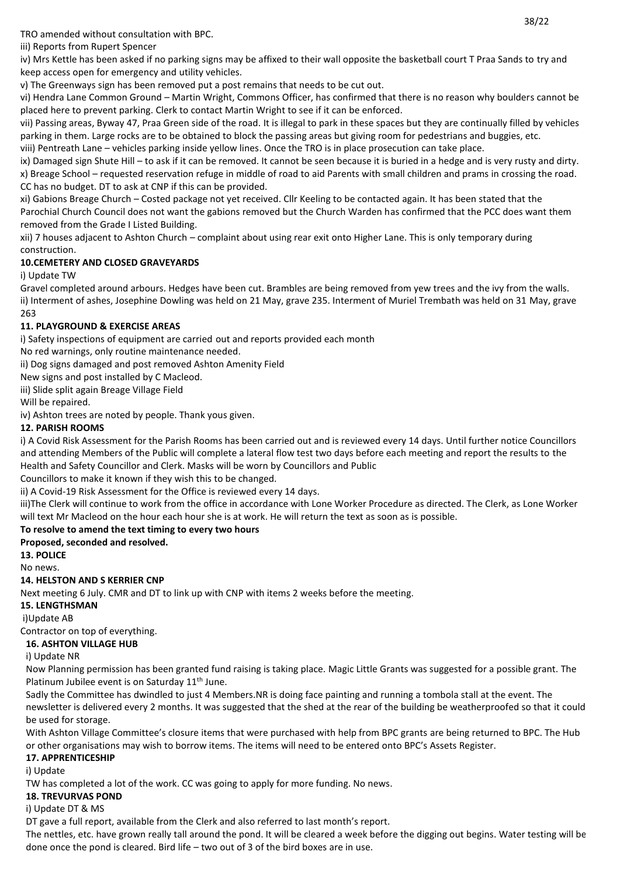TRO amended without consultation with BPC.

iii) Reports from Rupert Spencer

iv) Mrs Kettle has been asked if no parking signs may be affixed to their wall opposite the basketball court T Praa Sands to try and keep access open for emergency and utility vehicles.

v) The Greenways sign has been removed put a post remains that needs to be cut out.

vi) Hendra Lane Common Ground – Martin Wright, Commons Officer, has confirmed that there is no reason why boulders cannot be placed here to prevent parking. Clerk to contact Martin Wright to see if it can be enforced.

vii) Passing areas, Byway 47, Praa Green side of the road. It is illegal to park in these spaces but they are continually filled by vehicles parking in them. Large rocks are to be obtained to block the passing areas but giving room for pedestrians and buggies, etc.

viii) Pentreath Lane – vehicles parking inside yellow lines. Once the TRO is in place prosecution can take place.

ix) Damaged sign Shute Hill – to ask if it can be removed. It cannot be seen because it is buried in a hedge and is very rusty and dirty. x) Breage School – requested reservation refuge in middle of road to aid Parents with small children and prams in crossing the road. CC has no budget. DT to ask at CNP if this can be provided.

xi) Gabions Breage Church – Costed package not yet received. Cllr Keeling to be contacted again. It has been stated that the Parochial Church Council does not want the gabions removed but the Church Warden has confirmed that the PCC does want them removed from the Grade I Listed Building.

xii) 7 houses adjacent to Ashton Church – complaint about using rear exit onto Higher Lane. This is only temporary during construction.

# **10.CEMETERY AND CLOSED GRAVEYARDS**

i) Update TW

Gravel completed around arbours. Hedges have been cut. Brambles are being removed from yew trees and the ivy from the walls. ii) Interment of ashes, Josephine Dowling was held on 21 May, grave 235. Interment of Muriel Trembath was held on 31 May, grave 263

# **11. PLAYGROUND & EXERCISE AREAS**

i) Safety inspections of equipment are carried out and reports provided each month

No red warnings, only routine maintenance needed.

ii) Dog signs damaged and post removed Ashton Amenity Field

New signs and post installed by C Macleod.

iii) Slide split again Breage Village Field

Will be repaired.

iv) Ashton trees are noted by people. Thank yous given.

# **12. PARISH ROOMS**

i) A Covid Risk Assessment for the Parish Rooms has been carried out and is reviewed every 14 days. Until further notice Councillors and attending Members of the Public will complete a lateral flow test two days before each meeting and report the results to the Health and Safety Councillor and Clerk. Masks will be worn by Councillors and Public

Councillors to make it known if they wish this to be changed.

ii) A Covid-19 Risk Assessment for the Office is reviewed every 14 days.

iii)The Clerk will continue to work from the office in accordance with Lone Worker Procedure as directed. The Clerk, as Lone Worker will text Mr Macleod on the hour each hour she is at work. He will return the text as soon as is possible.

# **To resolve to amend the text timing to every two hours**

**Proposed, seconded and resolved.**

**13. POLICE**

No news.

# **14. HELSTON AND S KERRIER CNP**

Next meeting 6 July. CMR and DT to link up with CNP with items 2 weeks before the meeting.

### **15. LENGTHSMAN**

i)Update AB

Contractor on top of everything.

# **16. ASHTON VILLAGE HUB**

i) Update NR

Now Planning permission has been granted fund raising is taking place. Magic Little Grants was suggested for a possible grant. The Platinum Jubilee event is on Saturday  $11<sup>th</sup>$  June.

Sadly the Committee has dwindled to just 4 Members.NR is doing face painting and running a tombola stall at the event. The newsletter is delivered every 2 months. It was suggested that the shed at the rear of the building be weatherproofed so that it could be used for storage.

With Ashton Village Committee's closure items that were purchased with help from BPC grants are being returned to BPC. The Hub or other organisations may wish to borrow items. The items will need to be entered onto BPC's Assets Register.

# **17. APPRENTICESHIP**

i) Update

TW has completed a lot of the work. CC was going to apply for more funding. No news.

# **18. TREVURVAS POND**

i) Update DT & MS

DT gave a full report, available from the Clerk and also referred to last month's report.

The nettles, etc. have grown really tall around the pond. It will be cleared a week before the digging out begins. Water testing will be done once the pond is cleared. Bird life – two out of 3 of the bird boxes are in use.